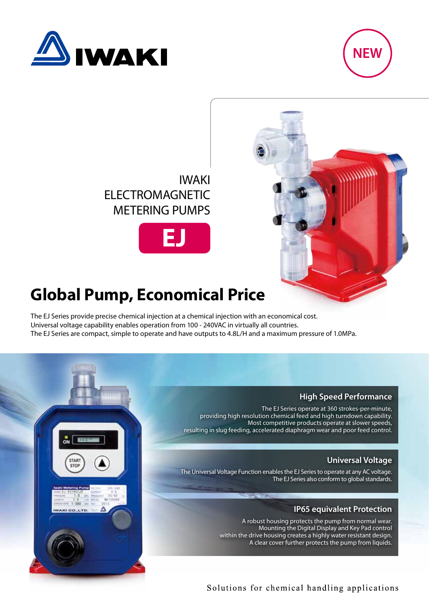





# **Global Pump, Economical Price**

The EJ Series provide precise chemical injection at a chemical injection with an economical cost. Universal voltage capability enables operation from 100 - 240VAC in virtually all countries. The EJ Series are compact, simple to operate and have outputs to 4.8L/H and a maximum pressure of 1.0MPa.

#### **High Speed Performance**

The EJ Series operate at 360 strokes-per-minute, providing high resolution chemical feed and high turndown capability. Most competitive products operate at slower speeds, resulting in slug feeding, accelerated diaphragm wear and poor feed control.

#### **Universal Voltage**

The Universal Voltage Function enables the EJ Series to operate at any AC voltage. The EJ Series also conform to global standards.

### **IP65 equivalent Protection**

A robust housing protects the pump from normal wear. Mounting the Digital Display and Key Pad control within the drive housing creates a highly water resistant design. A clear cover further protects the pump from liquids.



## Solutions for chemical handling applications